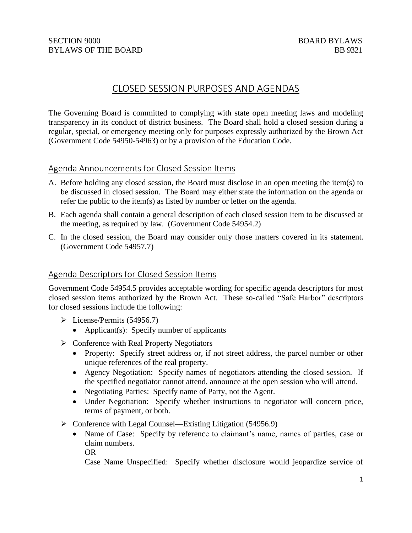# CLOSED SESSION PURPOSES AND AGENDAS

The Governing Board is committed to complying with state open meeting laws and modeling transparency in its conduct of district business. The Board shall hold a closed session during a regular, special, or emergency meeting only for purposes expressly authorized by the Brown Act (Government Code 54950-54963) or by a provision of the Education Code.

## Agenda Announcements for Closed Session Items

- A. Before holding any closed session, the Board must disclose in an open meeting the item(s) to be discussed in closed session. The Board may either state the information on the agenda or refer the public to the item(s) as listed by number or letter on the agenda.
- B. Each agenda shall contain a general description of each closed session item to be discussed at the meeting, as required by law. (Government Code 54954.2)
- C. In the closed session, the Board may consider only those matters covered in its statement. (Government Code 54957.7)

## Agenda Descriptors for Closed Session Items

Government Code 54954.5 provides acceptable wording for specific agenda descriptors for most closed session items authorized by the Brown Act. These so-called "Safe Harbor" descriptors for closed sessions include the following:

- ➢ License/Permits (54956.7)
	- Applicant(s): Specify number of applicants
- $\rightarrow$  Conference with Real Property Negotiators
	- Property: Specify street address or, if not street address, the parcel number or other unique references of the real property.
	- Agency Negotiation: Specify names of negotiators attending the closed session. If the specified negotiator cannot attend, announce at the open session who will attend.
	- Negotiating Parties: Specify name of Party, not the Agent.
	- Under Negotiation: Specify whether instructions to negotiator will concern price, terms of payment, or both.
- ➢ Conference with Legal Counsel—Existing Litigation (54956.9)
	- Name of Case: Specify by reference to claimant's name, names of parties, case or claim numbers. OR

Case Name Unspecified: Specify whether disclosure would jeopardize service of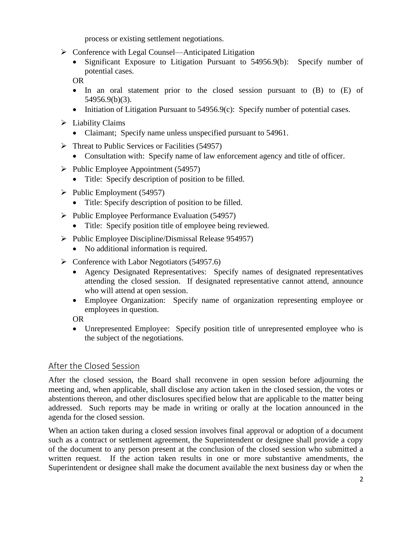process or existing settlement negotiations.

- ➢ Conference with Legal Counsel—Anticipated Litigation
	- Significant Exposure to Litigation Pursuant to 54956.9(b): Specify number of potential cases.

OR

- In an oral statement prior to the closed session pursuant to (B) to (E) of 54956.9(b)(3).
- Initiation of Litigation Pursuant to 54956.9(c): Specify number of potential cases.
- $\triangleright$  Liability Claims
	- Claimant; Specify name unless unspecified pursuant to 54961.
- $\triangleright$  Threat to Public Services or Facilities (54957)
	- Consultation with: Specify name of law enforcement agency and title of officer.
- $\triangleright$  Public Employee Appointment (54957)
	- Title: Specify description of position to be filled.
- $\blacktriangleright$  Public Employment (54957)
	- Title: Specify description of position to be filled.
- ➢ Public Employee Performance Evaluation (54957)
	- Title: Specify position title of employee being reviewed.
- ➢ Public Employee Discipline/Dismissal Release 954957)
	- No additional information is required.
- $\triangleright$  Conference with Labor Negotiators (54957.6)
	- Agency Designated Representatives: Specify names of designated representatives attending the closed session. If designated representative cannot attend, announce who will attend at open session.
	- Employee Organization: Specify name of organization representing employee or employees in question.

OR

• Unrepresented Employee: Specify position title of unrepresented employee who is the subject of the negotiations.

# After the Closed Session

After the closed session, the Board shall reconvene in open session before adjourning the meeting and, when applicable, shall disclose any action taken in the closed session, the votes or abstentions thereon, and other disclosures specified below that are applicable to the matter being addressed. Such reports may be made in writing or orally at the location announced in the agenda for the closed session.

When an action taken during a closed session involves final approval or adoption of a document such as a contract or settlement agreement, the Superintendent or designee shall provide a copy of the document to any person present at the conclusion of the closed session who submitted a written request. If the action taken results in one or more substantive amendments, the Superintendent or designee shall make the document available the next business day or when the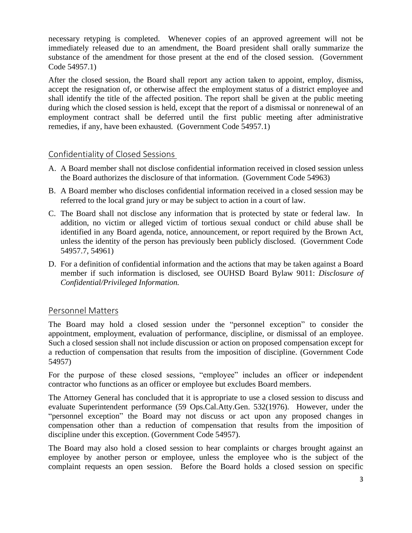necessary retyping is completed. Whenever copies of an approved agreement will not be immediately released due to an amendment, the Board president shall orally summarize the substance of the amendment for those present at the end of the closed session. (Government Code 54957.1)

After the closed session, the Board shall report any action taken to appoint, employ, dismiss, accept the resignation of, or otherwise affect the employment status of a district employee and shall identify the title of the affected position. The report shall be given at the public meeting during which the closed session is held, except that the report of a dismissal or nonrenewal of an employment contract shall be deferred until the first public meeting after administrative remedies, if any, have been exhausted. (Government Code 54957.1)

## Confidentiality of Closed Sessions

- A. A Board member shall not disclose confidential information received in closed session unless the Board authorizes the disclosure of that information. (Government Code 54963)
- B. A Board member who discloses confidential information received in a closed session may be referred to the local grand jury or may be subject to action in a court of law.
- C. The Board shall not disclose any information that is protected by state or federal law. In addition, no victim or alleged victim of tortious sexual conduct or child abuse shall be identified in any Board agenda, notice, announcement, or report required by the Brown Act, unless the identity of the person has previously been publicly disclosed. (Government Code 54957.7, 54961)
- D. For a definition of confidential information and the actions that may be taken against a Board member if such information is disclosed, see OUHSD Board Bylaw 9011: *Disclosure of Confidential/Privileged Information.*

## Personnel Matters

The Board may hold a closed session under the "personnel exception" to consider the appointment, employment, evaluation of performance, discipline, or dismissal of an employee. Such a closed session shall not include discussion or action on proposed compensation except for a reduction of compensation that results from the imposition of discipline. (Government Code 54957)

For the purpose of these closed sessions, "employee" includes an officer or independent contractor who functions as an officer or employee but excludes Board members.

The Attorney General has concluded that it is appropriate to use a closed session to discuss and evaluate Superintendent performance (59 Ops.Cal.Atty.Gen. 532(1976). However, under the "personnel exception" the Board may not discuss or act upon any proposed changes in compensation other than a reduction of compensation that results from the imposition of discipline under this exception. (Government Code 54957).

The Board may also hold a closed session to hear complaints or charges brought against an employee by another person or employee, unless the employee who is the subject of the complaint requests an open session. Before the Board holds a closed session on specific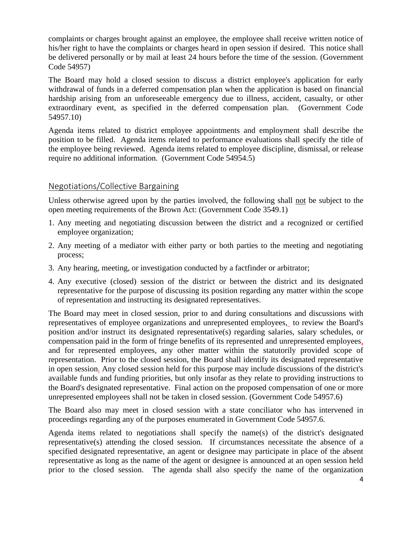complaints or charges brought against an employee, the employee shall receive written notice of his/her right to have the complaints or charges heard in open session if desired. This notice shall be delivered personally or by mail at least 24 hours before the time of the session. (Government Code 54957)

The Board may hold a closed session to discuss a district employee's application for early withdrawal of funds in a deferred compensation plan when the application is based on financial hardship arising from an unforeseeable emergency due to illness, accident, casualty, or other extraordinary event, as specified in the deferred compensation plan. (Government Code 54957.10)

Agenda items related to district employee appointments and employment shall describe the position to be filled. Agenda items related to performance evaluations shall specify the title of the employee being reviewed. Agenda items related to employee discipline, dismissal, or release require no additional information. (Government Code 54954.5)

## Negotiations/Collective Bargaining

Unless otherwise agreed upon by the parties involved, the following shall not be subject to the open meeting requirements of the Brown Act: (Government Code 3549.1)

- 1. Any meeting and negotiating discussion between the district and a recognized or certified employee organization;
- 2. Any meeting of a mediator with either party or both parties to the meeting and negotiating process;
- 3. Any hearing, meeting, or investigation conducted by a factfinder or arbitrator;
- 4. Any executive (closed) session of the district or between the district and its designated representative for the purpose of discussing its position regarding any matter within the scope of representation and instructing its designated representatives.

The Board may meet in closed session, prior to and during consultations and discussions with representatives of employee organizations and unrepresented employees, to review the Board's position and/or instruct its designated representative(s) regarding salaries, salary schedules, or compensation paid in the form of fringe benefits of its represented and unrepresented employees, and for represented employees, any other matter within the statutorily provided scope of representation. Prior to the closed session, the Board shall identify its designated representative in open session. Any closed session held for this purpose may include discussions of the district's available funds and funding priorities, but only insofar as they relate to providing instructions to the Board's designated representative. Final action on the proposed compensation of one or more unrepresented employees shall not be taken in closed session. (Government Code 54957.6)

The Board also may meet in closed session with a state conciliator who has intervened in proceedings regarding any of the purposes enumerated in Government Code 54957.6.

Agenda items related to negotiations shall specify the name(s) of the district's designated representative(s) attending the closed session. If circumstances necessitate the absence of a specified designated representative, an agent or designee may participate in place of the absent representative as long as the name of the agent or designee is announced at an open session held prior to the closed session. The agenda shall also specify the name of the organization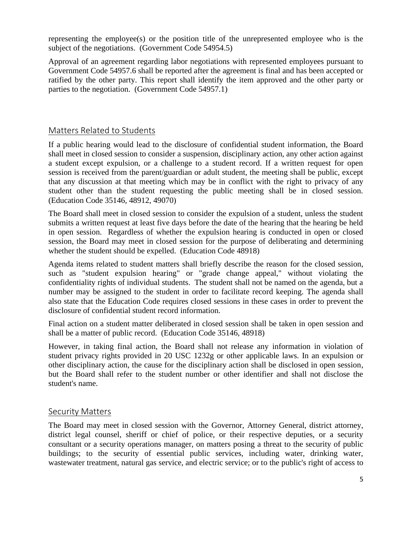representing the employee(s) or the position title of the unrepresented employee who is the subject of the negotiations. (Government Code 54954.5)

Approval of an agreement regarding labor negotiations with represented employees pursuant to Government Code 54957.6 shall be reported after the agreement is final and has been accepted or ratified by the other party. This report shall identify the item approved and the other party or parties to the negotiation. (Government Code 54957.1)

## Matters Related to Students

If a public hearing would lead to the disclosure of confidential student information, the Board shall meet in closed session to consider a suspension, disciplinary action, any other action against a student except expulsion, or a challenge to a student record. If a written request for open session is received from the parent/guardian or adult student, the meeting shall be public, except that any discussion at that meeting which may be in conflict with the right to privacy of any student other than the student requesting the public meeting shall be in closed session. (Education Code 35146, 48912, 49070)

The Board shall meet in closed session to consider the expulsion of a student, unless the student submits a written request at least five days before the date of the hearing that the hearing be held in open session. Regardless of whether the expulsion hearing is conducted in open or closed session, the Board may meet in closed session for the purpose of deliberating and determining whether the student should be expelled. (Education Code 48918)

Agenda items related to student matters shall briefly describe the reason for the closed session, such as "student expulsion hearing" or "grade change appeal," without violating the confidentiality rights of individual students. The student shall not be named on the agenda, but a number may be assigned to the student in order to facilitate record keeping. The agenda shall also state that the Education Code requires closed sessions in these cases in order to prevent the disclosure of confidential student record information.

Final action on a student matter deliberated in closed session shall be taken in open session and shall be a matter of public record. (Education Code 35146, 48918)

However, in taking final action, the Board shall not release any information in violation of student privacy rights provided in 20 USC 1232g or other applicable laws. In an expulsion or other disciplinary action, the cause for the disciplinary action shall be disclosed in open session, but the Board shall refer to the student number or other identifier and shall not disclose the student's name.

#### Security Matters

The Board may meet in closed session with the Governor, Attorney General, district attorney, district legal counsel, sheriff or chief of police, or their respective deputies, or a security consultant or a security operations manager, on matters posing a threat to the security of public buildings; to the security of essential public services, including water, drinking water, wastewater treatment, natural gas service, and electric service; or to the public's right of access to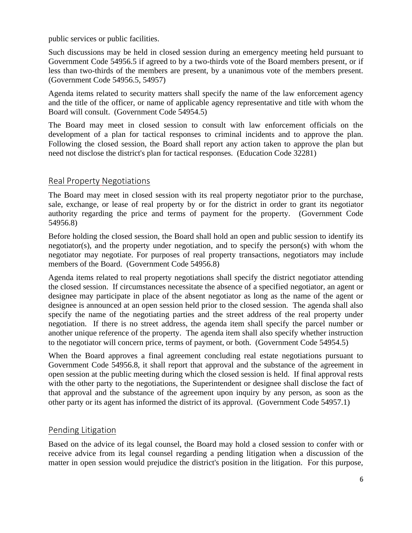public services or public facilities.

Such discussions may be held in closed session during an emergency meeting held pursuant to Government Code 54956.5 if agreed to by a two-thirds vote of the Board members present, or if less than two-thirds of the members are present, by a unanimous vote of the members present. (Government Code 54956.5, 54957)

Agenda items related to security matters shall specify the name of the law enforcement agency and the title of the officer, or name of applicable agency representative and title with whom the Board will consult. (Government Code 54954.5)

The Board may meet in closed session to consult with law enforcement officials on the development of a plan for tactical responses to criminal incidents and to approve the plan. Following the closed session, the Board shall report any action taken to approve the plan but need not disclose the district's plan for tactical responses. (Education Code 32281)

## Real Property Negotiations

The Board may meet in closed session with its real property negotiator prior to the purchase, sale, exchange, or lease of real property by or for the district in order to grant its negotiator authority regarding the price and terms of payment for the property. (Government Code 54956.8)

Before holding the closed session, the Board shall hold an open and public session to identify its negotiator(s), and the property under negotiation, and to specify the person(s) with whom the negotiator may negotiate. For purposes of real property transactions, negotiators may include members of the Board. (Government Code 54956.8)

Agenda items related to real property negotiations shall specify the district negotiator attending the closed session. If circumstances necessitate the absence of a specified negotiator, an agent or designee may participate in place of the absent negotiator as long as the name of the agent or designee is announced at an open session held prior to the closed session. The agenda shall also specify the name of the negotiating parties and the street address of the real property under negotiation. If there is no street address, the agenda item shall specify the parcel number or another unique reference of the property. The agenda item shall also specify whether instruction to the negotiator will concern price, terms of payment, or both. (Government Code 54954.5)

When the Board approves a final agreement concluding real estate negotiations pursuant to Government Code 54956.8, it shall report that approval and the substance of the agreement in open session at the public meeting during which the closed session is held. If final approval rests with the other party to the negotiations, the Superintendent or designee shall disclose the fact of that approval and the substance of the agreement upon inquiry by any person, as soon as the other party or its agent has informed the district of its approval. (Government Code 54957.1)

# Pending Litigation

Based on the advice of its legal counsel, the Board may hold a closed session to confer with or receive advice from its legal counsel regarding a pending litigation when a discussion of the matter in open session would prejudice the district's position in the litigation. For this purpose,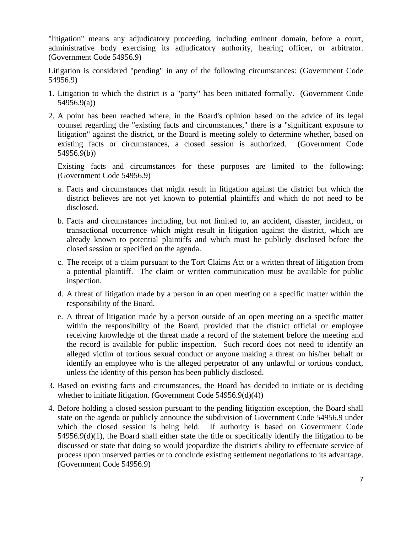"litigation" means any adjudicatory proceeding, including eminent domain, before a court, administrative body exercising its adjudicatory authority, hearing officer, or arbitrator. (Government Code 54956.9)

Litigation is considered "pending" in any of the following circumstances: (Government Code 54956.9)

- 1. Litigation to which the district is a "party" has been initiated formally. (Government Code 54956.9(a))
- 2. A point has been reached where, in the Board's opinion based on the advice of its legal counsel regarding the "existing facts and circumstances," there is a "significant exposure to litigation" against the district, or the Board is meeting solely to determine whether, based on existing facts or circumstances, a closed session is authorized. (Government Code 54956.9(b))

Existing facts and circumstances for these purposes are limited to the following: (Government Code 54956.9)

- a. Facts and circumstances that might result in litigation against the district but which the district believes are not yet known to potential plaintiffs and which do not need to be disclosed.
- b. Facts and circumstances including, but not limited to, an accident, disaster, incident, or transactional occurrence which might result in litigation against the district, which are already known to potential plaintiffs and which must be publicly disclosed before the closed session or specified on the agenda.
- c. The receipt of a claim pursuant to the Tort Claims Act or a written threat of litigation from a potential plaintiff. The claim or written communication must be available for public inspection.
- d. A threat of litigation made by a person in an open meeting on a specific matter within the responsibility of the Board.
- e. A threat of litigation made by a person outside of an open meeting on a specific matter within the responsibility of the Board, provided that the district official or employee receiving knowledge of the threat made a record of the statement before the meeting and the record is available for public inspection. Such record does not need to identify an alleged victim of tortious sexual conduct or anyone making a threat on his/her behalf or identify an employee who is the alleged perpetrator of any unlawful or tortious conduct, unless the identity of this person has been publicly disclosed.
- 3. Based on existing facts and circumstances, the Board has decided to initiate or is deciding whether to initiate litigation. (Government Code 54956.9(d)(4))
- 4. Before holding a closed session pursuant to the pending litigation exception, the Board shall state on the agenda or publicly announce the subdivision of Government Code 54956.9 under which the closed session is being held. If authority is based on Government Code 54956.9(d)(1), the Board shall either state the title or specifically identify the litigation to be discussed or state that doing so would jeopardize the district's ability to effectuate service of process upon unserved parties or to conclude existing settlement negotiations to its advantage. (Government Code 54956.9)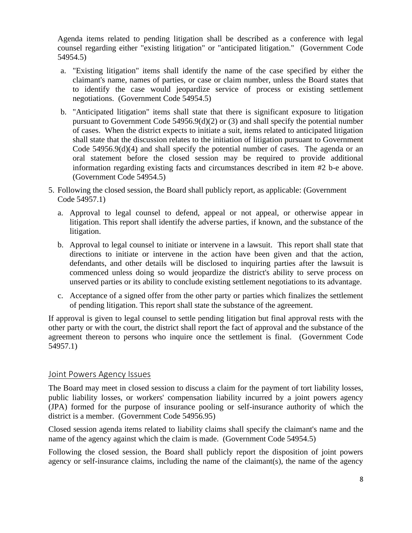Agenda items related to pending litigation shall be described as a conference with legal counsel regarding either "existing litigation" or "anticipated litigation." (Government Code 54954.5)

- a. "Existing litigation" items shall identify the name of the case specified by either the claimant's name, names of parties, or case or claim number, unless the Board states that to identify the case would jeopardize service of process or existing settlement negotiations. (Government Code 54954.5)
- b. "Anticipated litigation" items shall state that there is significant exposure to litigation pursuant to Government Code 54956.9(d)(2) or (3) and shall specify the potential number of cases. When the district expects to initiate a suit, items related to anticipated litigation shall state that the discussion relates to the initiation of litigation pursuant to Government Code  $54956.9(d)(4)$  and shall specify the potential number of cases. The agenda or an oral statement before the closed session may be required to provide additional information regarding existing facts and circumstances described in item #2 b-e above. (Government Code 54954.5)
- 5. Following the closed session, the Board shall publicly report, as applicable: (Government Code 54957.1)
	- a. Approval to legal counsel to defend, appeal or not appeal, or otherwise appear in litigation. This report shall identify the adverse parties, if known, and the substance of the litigation.
	- b. Approval to legal counsel to initiate or intervene in a lawsuit. This report shall state that directions to initiate or intervene in the action have been given and that the action, defendants, and other details will be disclosed to inquiring parties after the lawsuit is commenced unless doing so would jeopardize the district's ability to serve process on unserved parties or its ability to conclude existing settlement negotiations to its advantage.
	- c. Acceptance of a signed offer from the other party or parties which finalizes the settlement of pending litigation. This report shall state the substance of the agreement.

If approval is given to legal counsel to settle pending litigation but final approval rests with the other party or with the court, the district shall report the fact of approval and the substance of the agreement thereon to persons who inquire once the settlement is final. (Government Code 54957.1)

## Joint Powers Agency Issues

The Board may meet in closed session to discuss a claim for the payment of tort liability losses, public liability losses, or workers' compensation liability incurred by a joint powers agency (JPA) formed for the purpose of insurance pooling or self-insurance authority of which the district is a member. (Government Code 54956.95)

Closed session agenda items related to liability claims shall specify the claimant's name and the name of the agency against which the claim is made. (Government Code 54954.5)

Following the closed session, the Board shall publicly report the disposition of joint powers agency or self-insurance claims, including the name of the claimant(s), the name of the agency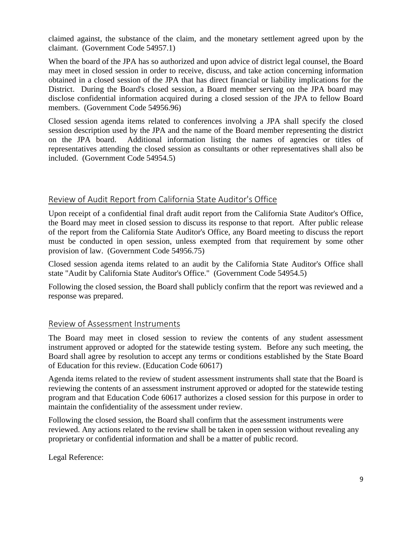claimed against, the substance of the claim, and the monetary settlement agreed upon by the claimant. (Government Code 54957.1)

When the board of the JPA has so authorized and upon advice of district legal counsel, the Board may meet in closed session in order to receive, discuss, and take action concerning information obtained in a closed session of the JPA that has direct financial or liability implications for the District. During the Board's closed session, a Board member serving on the JPA board may disclose confidential information acquired during a closed session of the JPA to fellow Board members. (Government Code 54956.96)

Closed session agenda items related to conferences involving a JPA shall specify the closed session description used by the JPA and the name of the Board member representing the district on the JPA board. Additional information listing the names of agencies or titles of representatives attending the closed session as consultants or other representatives shall also be included. (Government Code 54954.5)

# Review of Audit Report from California State Auditor's Office

Upon receipt of a confidential final draft audit report from the California State Auditor's Office, the Board may meet in closed session to discuss its response to that report. After public release of the report from the California State Auditor's Office, any Board meeting to discuss the report must be conducted in open session, unless exempted from that requirement by some other provision of law. (Government Code 54956.75)

Closed session agenda items related to an audit by the California State Auditor's Office shall state "Audit by California State Auditor's Office." (Government Code 54954.5)

Following the closed session, the Board shall publicly confirm that the report was reviewed and a response was prepared.

# Review of Assessment Instruments

The Board may meet in closed session to review the contents of any student assessment instrument approved or adopted for the statewide testing system. Before any such meeting, the Board shall agree by resolution to accept any terms or conditions established by the State Board of Education for this review. (Education Code 60617)

Agenda items related to the review of student assessment instruments shall state that the Board is reviewing the contents of an assessment instrument approved or adopted for the statewide testing program and that Education Code 60617 authorizes a closed session for this purpose in order to maintain the confidentiality of the assessment under review.

Following the closed session, the Board shall confirm that the assessment instruments were reviewed. Any actions related to the review shall be taken in open session without revealing any proprietary or confidential information and shall be a matter of public record.

Legal Reference: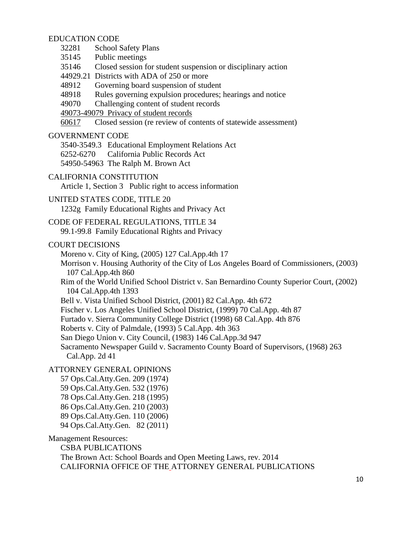#### EDUCATION CODE

- 32281 School Safety Plans
- 35145 Public meetings
- 35146 Closed session for student suspension or disciplinary action
- 44929.21 Districts with ADA of 250 or more
- 48912 Governing board suspension of student
- 48918 Rules governing expulsion procedures; hearings and notice
- 49070 Challenging content of student records
- 49073-49079 Privacy of student records
- 60617 Closed session (re review of contents of statewide assessment)

#### GOVERNMENT CODE

3540-3549.3 Educational Employment Relations Act 6252-6270 California Public Records Act 54950-54963 The Ralph M. Brown Act

CALIFORNIA CONSTITUTION

Article 1, Section 3 Public right to access information

UNITED STATES CODE, TITLE 20

1232g Family Educational Rights and Privacy Act

### CODE OF FEDERAL REGULATIONS, TITLE 34

99.1-99.8 Family Educational Rights and Privacy

#### COURT DECISIONS

Moreno v. City of King, (2005) 127 Cal.App.4th 17

Morrison v. Housing Authority of the City of Los Angeles Board of Commissioners, (2003) 107 Cal.App.4th 860

- Rim of the World Unified School District v. San Bernardino County Superior Court, (2002) 104 Cal.App.4th 1393
- Bell v. Vista Unified School District, (2001) 82 Cal.App. 4th 672
- Fischer v. Los Angeles Unified School District, (1999) 70 Cal.App. 4th 87
- Furtado v. Sierra Community College District (1998) 68 Cal.App. 4th 876

Roberts v. City of Palmdale, (1993) 5 Cal.App. 4th 363

San Diego Union v. City Council, (1983) 146 Cal.App.3d 947

Sacramento Newspaper Guild v. Sacramento County Board of Supervisors, (1968) 263 Cal.App. 2d 41

#### ATTORNEY GENERAL OPINIONS

- 57 Ops.Cal.Atty.Gen. 209 (1974)
- 59 Ops.Cal.Atty.Gen. 532 (1976)
- 78 Ops.Cal.Atty.Gen. 218 (1995)
- 86 Ops.Cal.Atty.Gen. 210 (2003)
- 89 Ops.Cal.Atty.Gen. 110 (2006)
- 94 Ops.Cal.Atty.Gen. 82 (2011)

#### Management Resources:

CSBA PUBLICATIONS The Brown Act: School Boards and Open Meeting Laws, rev. 2014 CALIFORNIA OFFICE OF THE ATTORNEY GENERAL PUBLICATIONS